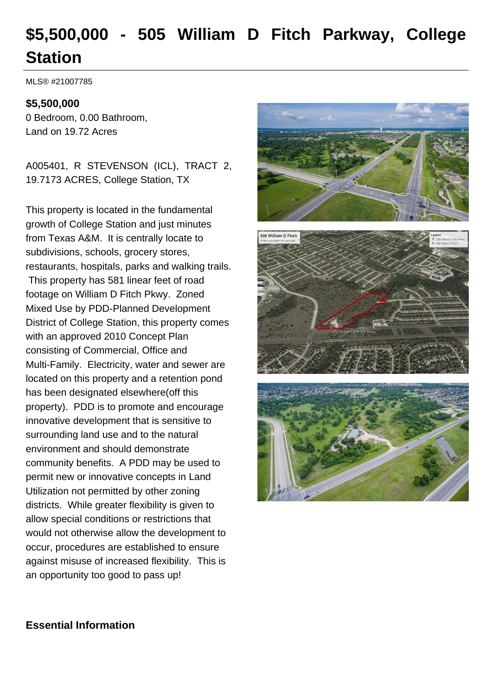# **\$5,500,000 - 505 William D Fitch Parkway, College Station**

MLS® #21007785

#### **\$5,500,000**

0 Bedroom, 0.00 Bathroom, Land on 19.72 Acres

A005401, R STEVENSON (ICL), TRACT 2, 19.7173 ACRES, College Station, TX

This property is located in the fundamental growth of College Station and just minutes from Texas A&M. It is centrally locate to subdivisions, schools, grocery stores, restaurants, hospitals, parks and walking trails. This property has 581 linear feet of road footage on William D Fitch Pkwy. Zoned Mixed Use by PDD-Planned Development District of College Station, this property comes with an approved 2010 Concept Plan consisting of Commercial, Office and Multi-Family. Electricity, water and sewer are located on this property and a retention pond has been designated elsewhere(off this property). PDD is to promote and encourage innovative development that is sensitive to surrounding land use and to the natural environment and should demonstrate community benefits. A PDD may be used to permit new or innovative concepts in Land Utilization not permitted by other zoning districts. While greater flexibility is given to allow special conditions or restrictions that would not otherwise allow the development to occur, procedures are established to ensure against misuse of increased flexibility. This is an opportunity too good to pass up!







### **Essential Information**